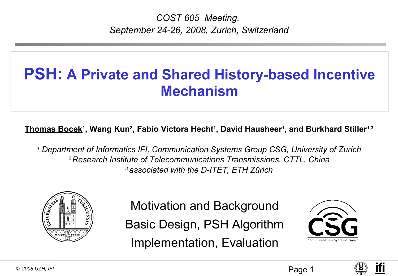*COST 605 Meeting, September 24-26, 2008, Zurich, Switzerland*

#### **PSH: A Private and Shared History-based Incentive Mechanism**

#### **Thomas Bocek<sup>1</sup> , Wang Kun<sup>2</sup> , Fabio Victora Hecht<sup>1</sup> , David Hausheer<sup>1</sup> , and Burkhard Stiller1,3**

*1 Department of Informatics IFI, Communication Systems Group CSG, University of Zurich <sup>2</sup>Research Institute of Telecommunications Transmissions, CTTL, China <sup>3</sup>associated with the D-ITET, ETH Zürich*



Motivation and Background Basic Design, PSH Algorithm Implementation, Evaluation



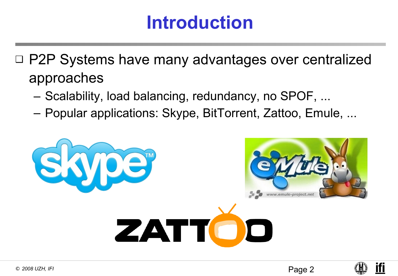## **Introduction**

- ❑ P2P Systems have many advantages over centralized approaches
	- Scalability, load balancing, redundancy, no SPOF, ...
	- Popular applications: Skype, BitTorrent, Zattoo, Emule, ...



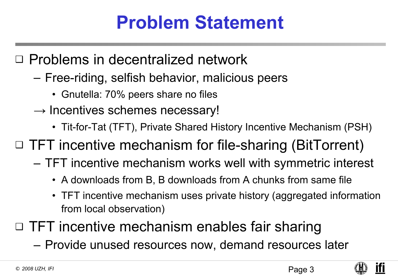### **Problem Statement**

#### ❑ Problems in decentralized network

- Free-riding, selfish behavior, malicious peers
	- Gnutella: 70% peers share no files
- $\rightarrow$  Incentives schemes necessary!
	- Tit-for-Tat (TFT), Private Shared History Incentive Mechanism (PSH)
- ❑ TFT incentive mechanism for file-sharing (BitTorrent)
	- TFT incentive mechanism works well with symmetric interest
		- A downloads from B, B downloads from A chunks from same file
		- TFT incentive mechanism uses private history (aggregated information from local observation)
- ❑ TFT incentive mechanism enables fair sharing
	- Provide unused resources now, demand resources later



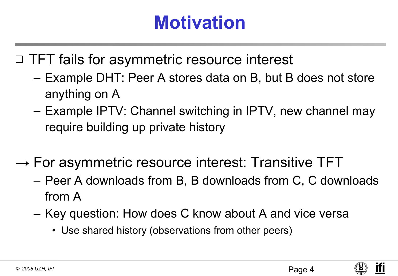### **Motivation**

❑ TFT fails for asymmetric resource interest

- Example DHT: Peer A stores data on B, but B does not store anything on A
- Example IPTV: Channel switching in IPTV, new channel may require building up private history
- $\rightarrow$  For asymmetric resource interest: Transitive TFT
	- Peer A downloads from B, B downloads from C, C downloads from A
	- Key question: How does C know about A and vice versa
		- Use shared history (observations from other peers)

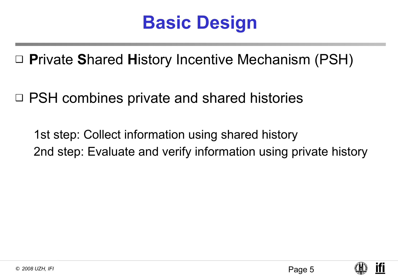### **Basic Design**

❑ **P**rivate **S**hared **H**istory Incentive Mechanism (PSH)

❑ PSH combines private and shared histories

1st step: Collect information using shared history 2nd step: Evaluate and verify information using private history

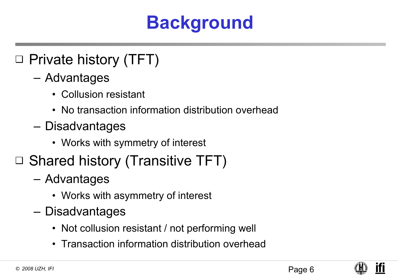# **Background**

- ❑ Private history (TFT)
	- Advantages
		- Collusion resistant
		- No transaction information distribution overhead
	- Disadvantages
		- Works with symmetry of interest
- ❑ Shared history (Transitive TFT)
	- Advantages
		- Works with asymmetry of interest
	- Disadvantages
		- Not collusion resistant / not performing well
		- Transaction information distribution overhead

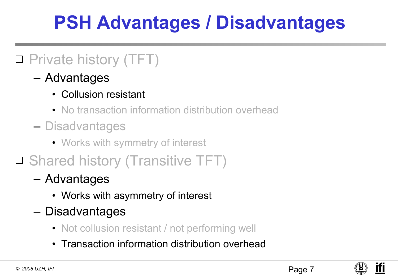# **PSH Advantages / Disadvantages**

#### ❑ Private history (TFT)

- Advantages
	- Collusion resistant
	- No transaction information distribution overhead
- Disadvantages
	- Works with symmetry of interest
- ❑ Shared history (Transitive TFT)
	- Advantages
		- Works with asymmetry of interest
	- Disadvantages
		- Not collusion resistant / not performing well
		- Transaction information distribution overhead

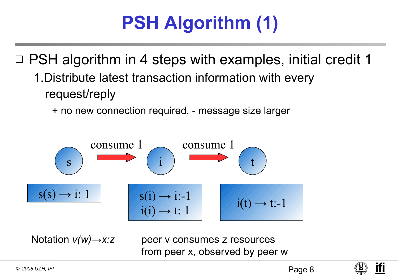# **PSH Algorithm (1)**

❑ PSH algorithm in 4 steps with examples, initial credit 1 1.Distribute latest transaction information with every request/reply

+ no new connection required, - message size larger



Notation *v(w)→x:z* peer v consumes z resources from peer x, observed by peer w

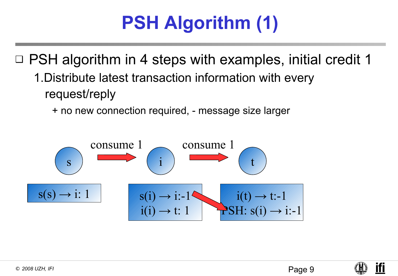# **PSH Algorithm (1)**

❑ PSH algorithm in 4 steps with examples, initial credit 1 1.Distribute latest transaction information with every request/reply

+ no new connection required, - message size larger



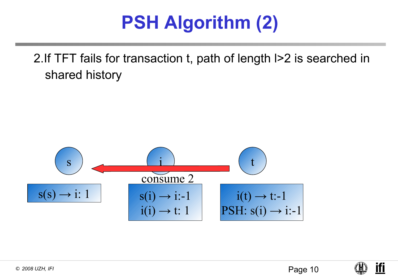# **PSH Algorithm (2)**

2.If TFT fails for transaction t, path of length l>2 is searched in shared history



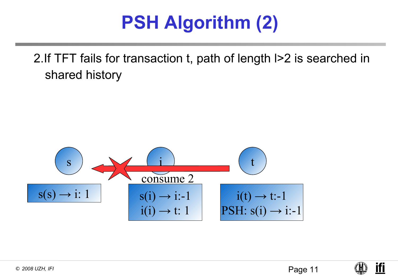# **PSH Algorithm (2)**

2.If TFT fails for transaction t, path of length l>2 is searched in shared history



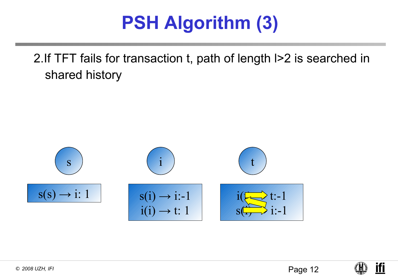# **PSH Algorithm (3)**

2.If TFT fails for transaction t, path of length l>2 is searched in shared history



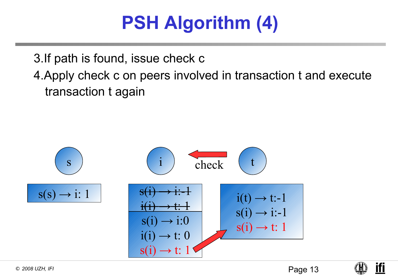# **PSH Algorithm (4)**

3.If path is found, issue check c

4.Apply check c on peers involved in transaction t and execute transaction t again



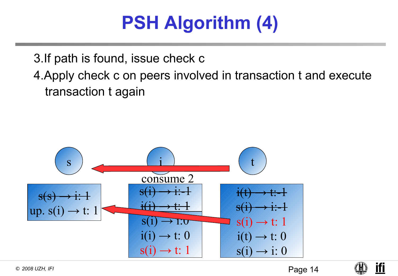# **PSH Algorithm (4)**

3.If path is found, issue check c

4.Apply check c on peers involved in transaction t and execute transaction t again



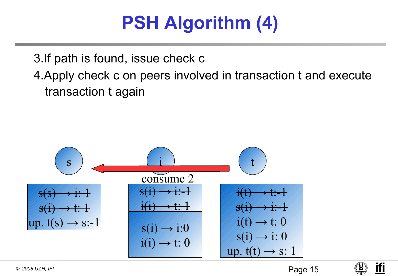# **PSH Algorithm (4)**

3.If path is found, issue check c

4.Apply check c on peers involved in transaction t and execute transaction t again



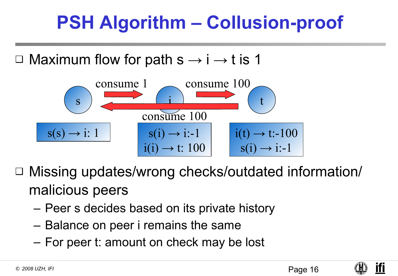## **PSH Algorithm – Collusion-proof**

 $\Box$  Maximum flow for path s  $\rightarrow$  i  $\rightarrow$  t is 1



- ❑ Missing updates/wrong checks/outdated information/ malicious peers
	- Peer s decides based on its private history
	- Balance on peer i remains the same
	- For peer t: amount on check may be lost

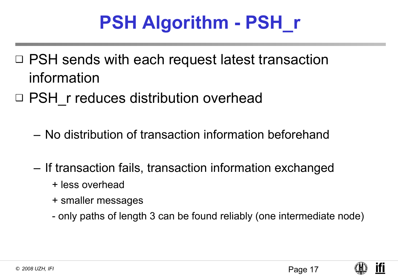# **PSH Algorithm - PSH\_r**

- ❑ PSH sends with each request latest transaction information
- □ PSH r reduces distribution overhead
	- No distribution of transaction information beforehand
	- If transaction fails, transaction information exchanged
		- + less overhead
		- + smaller messages
		- only paths of length 3 can be found reliably (one intermediate node)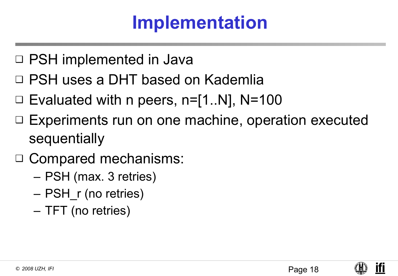### **Implementation**

- ❑ PSH implemented in Java
- ❑ PSH uses a DHT based on Kademlia
- $\Box$  Evaluated with n peers, n=[1..N], N=100
- ❑ Experiments run on one machine, operation executed sequentially
- ❑ Compared mechanisms:
	- PSH (max. 3 retries)
	- PSH\_r (no retries)
	- TFT (no retries)

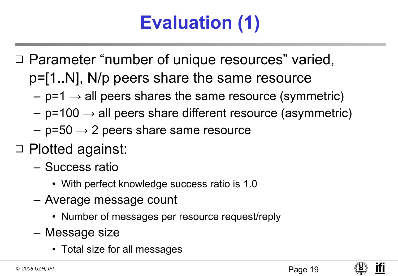# **Evaluation (1)**

- □ Parameter "number of unique resources" varied, p=[1..N], N/p peers share the same resource
	- $-p=1 \rightarrow$  all peers shares the same resource (symmetric)
	- $-p=100 \rightarrow$  all peers share different resource (asymmetric)
	- $-p=50 \rightarrow 2$  peers share same resource
- ❑ Plotted against:
	- Success ratio
		- With perfect knowledge success ratio is 1.0
	- Average message count
		- Number of messages per resource request/reply
	- Message size
		- Total size for all messages

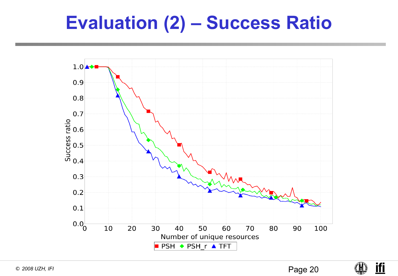#### **Evaluation (2) – Success Ratio**



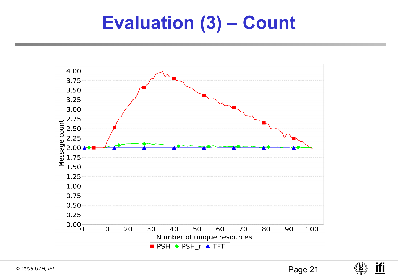#### **Evaluation (3) – Count**



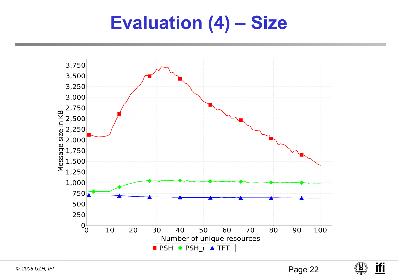#### **Evaluation (4) – Size**



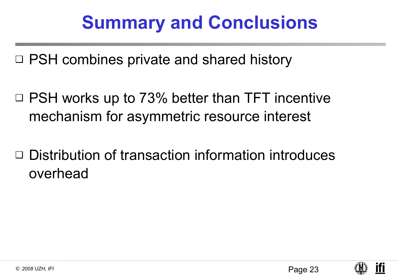### **Summary and Conclusions**

❑ PSH combines private and shared history

- ❑ PSH works up to 73% better than TFT incentive mechanism for asymmetric resource interest
- ❑ Distribution of transaction information introduces overhead

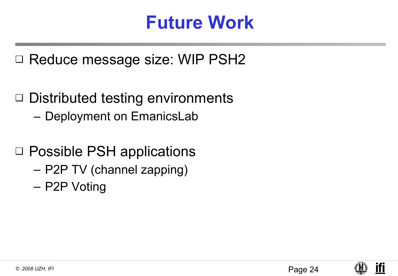#### **Future Work**

❑ Reduce message size: WIP PSH2

- ❑ Distributed testing environments
	- Deployment on EmanicsLab
- ❑ Possible PSH applications
	- P2P TV (channel zapping)
	- P2P Voting